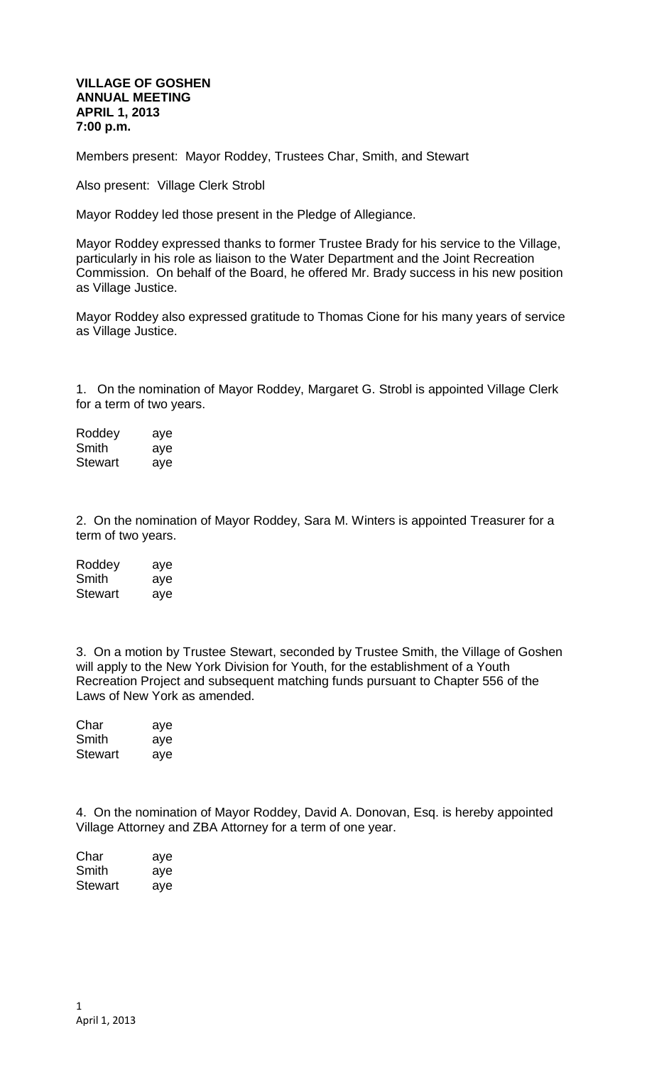## **VILLAGE OF GOSHEN ANNUAL MEETING APRIL 1, 2013 7:00 p.m.**

Members present: Mayor Roddey, Trustees Char, Smith, and Stewart

Also present: Village Clerk Strobl

Mayor Roddey led those present in the Pledge of Allegiance.

Mayor Roddey expressed thanks to former Trustee Brady for his service to the Village, particularly in his role as liaison to the Water Department and the Joint Recreation Commission. On behalf of the Board, he offered Mr. Brady success in his new position as Village Justice.

Mayor Roddey also expressed gratitude to Thomas Cione for his many years of service as Village Justice.

1. On the nomination of Mayor Roddey, Margaret G. Strobl is appointed Village Clerk for a term of two years.

Roddey aye Smith aye Stewart aye

2. On the nomination of Mayor Roddey, Sara M. Winters is appointed Treasurer for a term of two years.

| Roddey         | aye |
|----------------|-----|
| Smith          | aye |
| <b>Stewart</b> | aye |

3. On a motion by Trustee Stewart, seconded by Trustee Smith, the Village of Goshen will apply to the New York Division for Youth, for the establishment of a Youth Recreation Project and subsequent matching funds pursuant to Chapter 556 of the Laws of New York as amended.

| Char           | aye |
|----------------|-----|
| Smith          | aye |
| <b>Stewart</b> | aye |

4. On the nomination of Mayor Roddey, David A. Donovan, Esq. is hereby appointed Village Attorney and ZBA Attorney for a term of one year.

| Char    | aye |
|---------|-----|
| Smith   | aye |
| Stewart | aye |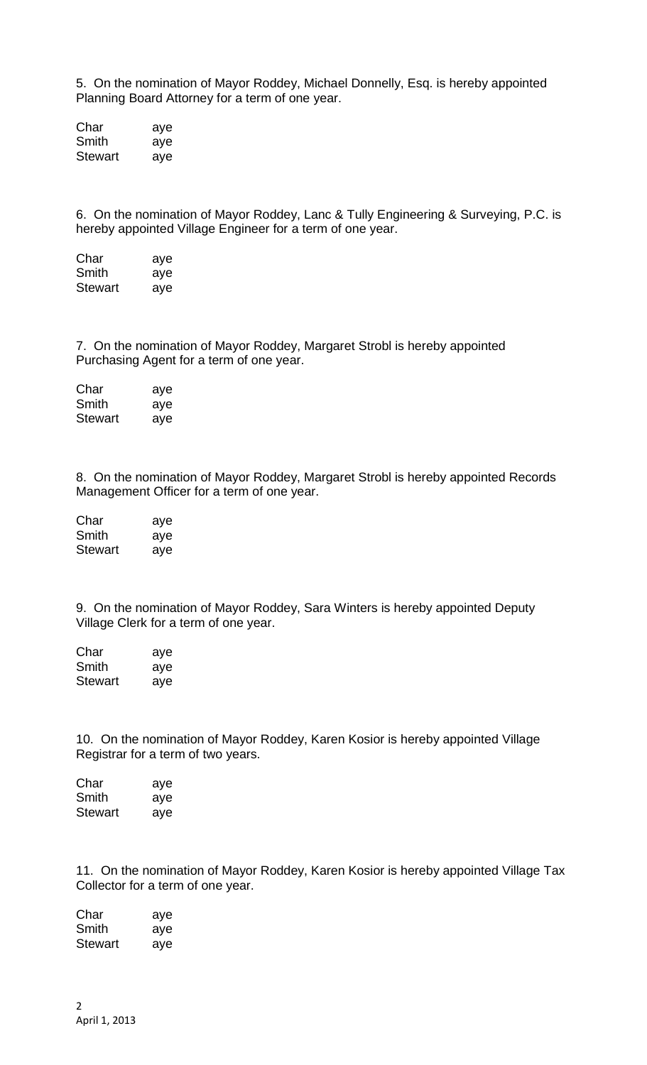5. On the nomination of Mayor Roddey, Michael Donnelly, Esq. is hereby appointed Planning Board Attorney for a term of one year.

Char aye Smith aye Stewart aye

6. On the nomination of Mayor Roddey, Lanc & Tully Engineering & Surveying, P.C. is hereby appointed Village Engineer for a term of one year.

Char aye Smith aye Stewart ave

7. On the nomination of Mayor Roddey, Margaret Strobl is hereby appointed Purchasing Agent for a term of one year.

| Char           | aye |
|----------------|-----|
| Smith          | aye |
| <b>Stewart</b> | aye |

8. On the nomination of Mayor Roddey, Margaret Strobl is hereby appointed Records Management Officer for a term of one year.

| Char    | aye |
|---------|-----|
| Smith   | aye |
| Stewart | aye |

9. On the nomination of Mayor Roddey, Sara Winters is hereby appointed Deputy Village Clerk for a term of one year.

Char aye Smith aye Stewart aye

10. On the nomination of Mayor Roddey, Karen Kosior is hereby appointed Village Registrar for a term of two years.

| Char    | aye |
|---------|-----|
| Smith   | aye |
| Stewart | aye |

11. On the nomination of Mayor Roddey, Karen Kosior is hereby appointed Village Tax Collector for a term of one year.

Char aye Smith aye Stewart aye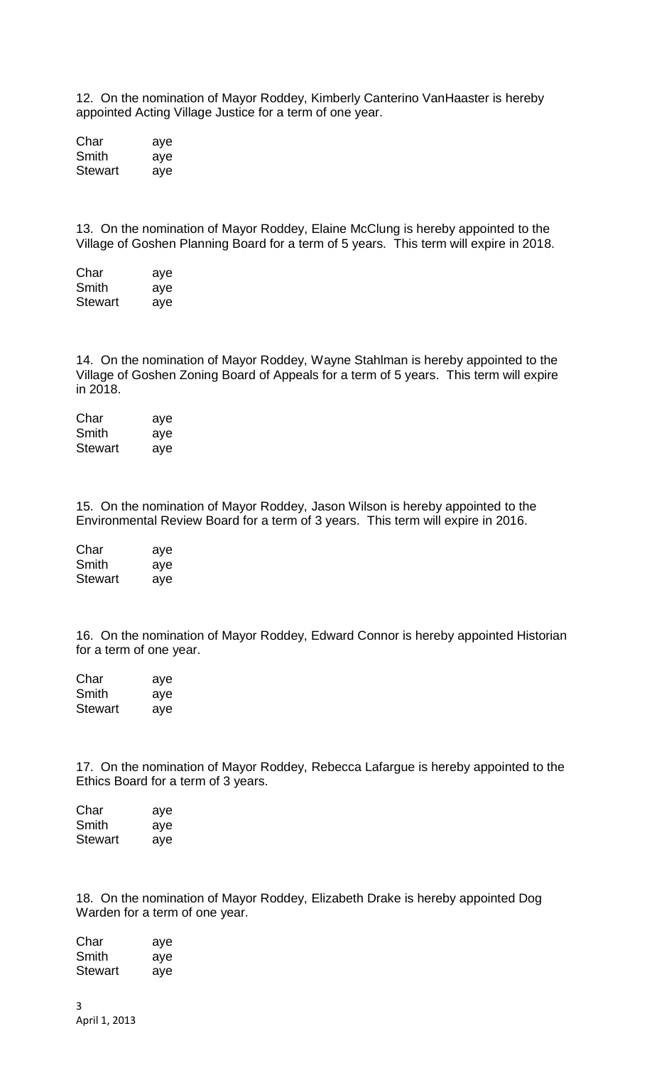12. On the nomination of Mayor Roddey, Kimberly Canterino VanHaaster is hereby appointed Acting Village Justice for a term of one year.

Char aye Smith aye Stewart aye

13. On the nomination of Mayor Roddey, Elaine McClung is hereby appointed to the Village of Goshen Planning Board for a term of 5 years. This term will expire in 2018.

Char aye Smith aye Stewart aye

14. On the nomination of Mayor Roddey, Wayne Stahlman is hereby appointed to the Village of Goshen Zoning Board of Appeals for a term of 5 years. This term will expire in 2018.

Char aye Smith aye Stewart aye

15. On the nomination of Mayor Roddey, Jason Wilson is hereby appointed to the Environmental Review Board for a term of 3 years. This term will expire in 2016.

Char aye Smith aye Stewart aye

16. On the nomination of Mayor Roddey, Edward Connor is hereby appointed Historian for a term of one year.

Char aye Smith aye Stewart aye

17. On the nomination of Mayor Roddey, Rebecca Lafargue is hereby appointed to the Ethics Board for a term of 3 years.

| Char    | aye |
|---------|-----|
| Smith   | aye |
| Stewart | aye |

18. On the nomination of Mayor Roddey, Elizabeth Drake is hereby appointed Dog Warden for a term of one year.

| Char    | aye |
|---------|-----|
| Smith   | aye |
| Stewart | aye |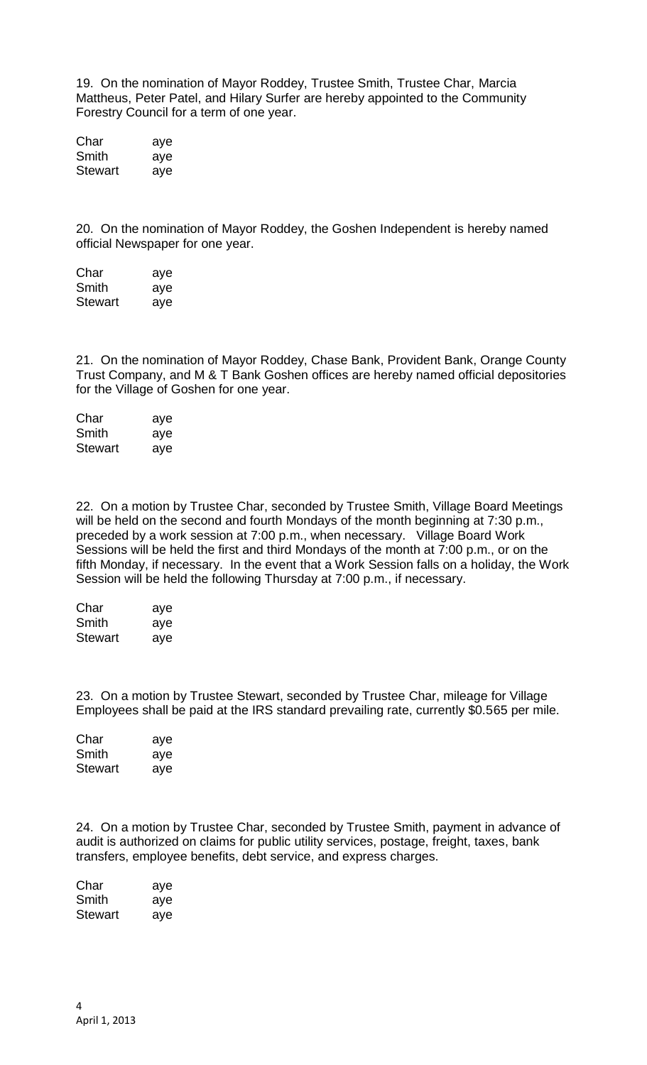19. On the nomination of Mayor Roddey, Trustee Smith, Trustee Char, Marcia Mattheus, Peter Patel, and Hilary Surfer are hereby appointed to the Community Forestry Council for a term of one year.

Char aye Smith aye Stewart aye

20. On the nomination of Mayor Roddey, the Goshen Independent is hereby named official Newspaper for one year.

Char aye Smith aye Stewart aye

21. On the nomination of Mayor Roddey, Chase Bank, Provident Bank, Orange County Trust Company, and M & T Bank Goshen offices are hereby named official depositories for the Village of Goshen for one year.

| Char           | aye |
|----------------|-----|
| Smith          | aye |
| <b>Stewart</b> | aye |

22. On a motion by Trustee Char, seconded by Trustee Smith, Village Board Meetings will be held on the second and fourth Mondays of the month beginning at 7:30 p.m., preceded by a work session at 7:00 p.m., when necessary. Village Board Work Sessions will be held the first and third Mondays of the month at 7:00 p.m., or on the fifth Monday, if necessary. In the event that a Work Session falls on a holiday, the Work Session will be held the following Thursday at 7:00 p.m., if necessary.

| Char    | aye |
|---------|-----|
| Smith   | aye |
| Stewart | aye |

23. On a motion by Trustee Stewart, seconded by Trustee Char, mileage for Village Employees shall be paid at the IRS standard prevailing rate, currently \$0.565 per mile.

| Char           | aye |
|----------------|-----|
| Smith          | aye |
| <b>Stewart</b> | aye |

24. On a motion by Trustee Char, seconded by Trustee Smith, payment in advance of audit is authorized on claims for public utility services, postage, freight, taxes, bank transfers, employee benefits, debt service, and express charges.

Char aye Smith aye Stewart aye